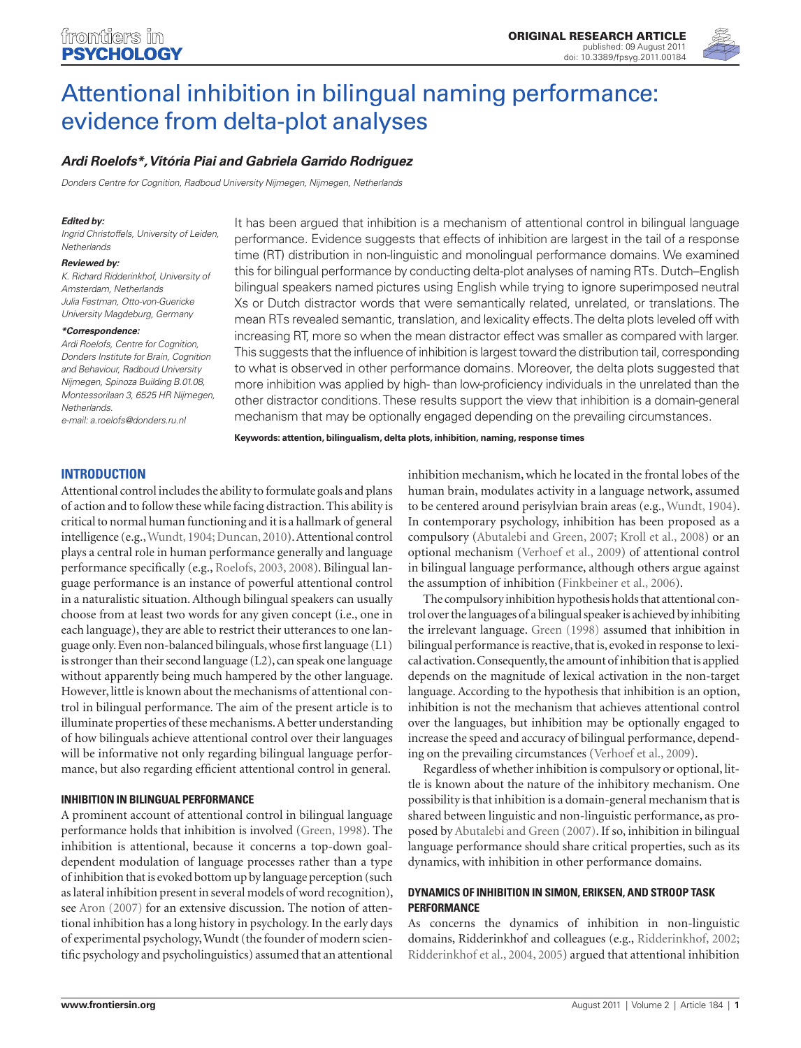

# [Attentional inhibition in bilingual naming performance:](http://www.frontiersin.org/cognition/10.3389/fpsyg.2011.00184/abstract)  [evidence from delta-plot analyses](http://www.frontiersin.org/cognition/10.3389/fpsyg.2011.00184/abstract)

# *[Ardi Roelofs\\*](http://www.frontiersin.org/people/ardiroelofs/12049), [Vitória Piai a](http://www.frontiersin.org/people/vitoriapiai/32259)nd Gabriela Garrido Rodriguez*

*Donders Centre for Cognition, Radboud University Nijmegen, Nijmegen, Netherlands*

#### *Edited by:*

*Ingrid Christoffels, University of Leiden, Netherlands*

#### *Reviewed by:*

*K. Richard Ridderinkhof, University of Amsterdam, Netherlands Julia Festman, Otto-von-Guericke University Magdeburg, Germany*

#### *\*Correspondence:*

*Ardi Roelofs, Centre for Cognition, Donders Institute for Brain, Cognition and Behaviour, Radboud University Nijmegen, Spinoza Building B.01.08, Montessorilaan 3, 6525 HR Nijmegen, Netherlands.* 

*e-mail: a.roelofs@donders.ru.nl*

It has been argued that inhibition is a mechanism of attentional control in bilingual language performance. Evidence suggests that effects of inhibition are largest in the tail of a response time (RT) distribution in non-linguistic and monolingual performance domains. We examined this for bilingual performance by conducting delta-plot analyses of naming RTs. Dutch–English bilingual speakers named pictures using English while trying to ignore superimposed neutral Xs or Dutch distractor words that were semantically related, unrelated, or translations. The mean RTs revealed semantic, translation, and lexicality effects. The delta plots leveled off with increasing RT, more so when the mean distractor effect was smaller as compared with larger. This suggests that the influence of inhibition is largest toward the distribution tail, corresponding to what is observed in other performance domains. Moreover, the delta plots suggested that more inhibition was applied by high- than low-proficiency individuals in the unrelated than the other distractor conditions. These results support the view that inhibition is a domain-general mechanism that may be optionally engaged depending on the prevailing circumstances.

**Keywords: attention, bilingualism, delta plots, inhibition, naming, response times**

# **Introduction**

Attentional control includes the ability to formulate goals and plans of action and to follow these while facing distraction. This ability is critical to normal human functioning and it is a hallmark of general intelligence (e.g., Wundt, 1904; Duncan, 2010). Attentional control plays a central role in human performance generally and language performance specifically (e.g., Roelofs, 2003, 2008). Bilingual language performance is an instance of powerful attentional control in a naturalistic situation. Although bilingual speakers can usually choose from at least two words for any given concept (i.e., one in each language), they are able to restrict their utterances to one language only. Even non-balanced bilinguals, whose first language (L1) is stronger than their second language (L2), can speak one language without apparently being much hampered by the other language. However, little is known about the mechanisms of attentional control in bilingual performance. The aim of the present article is to illuminate properties of these mechanisms. A better understanding of how bilinguals achieve attentional control over their languages will be informative not only regarding bilingual language performance, but also regarding efficient attentional control in general.

# **Inhibition in bilingual performance**

A prominent account of attentional control in bilingual language performance holds that inhibition is involved (Green, 1998). The inhibition is attentional, because it concerns a top-down goaldependent modulation of language processes rather than a type of inhibition that is evoked bottom up by language perception (such as lateral inhibition present in several models of word recognition), see Aron (2007) for an extensive discussion. The notion of attentional inhibition has a long history in psychology. In the early days of experimental psychology, Wundt (the founder of modern scientific psychology and psycholinguistics) assumed that an attentional

inhibition mechanism, which he located in the frontal lobes of the human brain, modulates activity in a language network, assumed to be centered around perisylvian brain areas (e.g., Wundt, 1904). In contemporary psychology, inhibition has been proposed as a compulsory (Abutalebi and Green, 2007; Kroll et al., 2008) or an optional mechanism (Verhoef et al., 2009) of attentional control in bilingual language performance, although others argue against the assumption of inhibition (Finkbeiner et al., 2006).

The compulsory inhibition hypothesis holds that attentional control over the languages of a bilingual speaker is achieved by inhibiting the irrelevant language. Green (1998) assumed that inhibition in bilingual performance is reactive, that is, evoked in response to lexical activation. Consequently, the amount of inhibition that is applied depends on the magnitude of lexical activation in the non-target language. According to the hypothesis that inhibition is an option, inhibition is not the mechanism that achieves attentional control over the languages, but inhibition may be optionally engaged to increase the speed and accuracy of bilingual performance, depending on the prevailing circumstances (Verhoef et al., 2009).

Regardless of whether inhibition is compulsory or optional, little is known about the nature of the inhibitory mechanism. One possibility is that inhibition is a domain-general mechanism that is shared between linguistic and non-linguistic performance, as proposed by Abutalebi and Green (2007). If so, inhibition in bilingual language performance should share critical properties, such as its dynamics, with inhibition in other performance domains.

# **Dynamics of inhibition in Simon, Eriksen, and Stroop task performance**

As concerns the dynamics of inhibition in non-linguistic domains, Ridderinkhof and colleagues (e.g., Ridderinkhof, 2002; Ridderinkhof et al., 2004, 2005) argued that attentional inhibition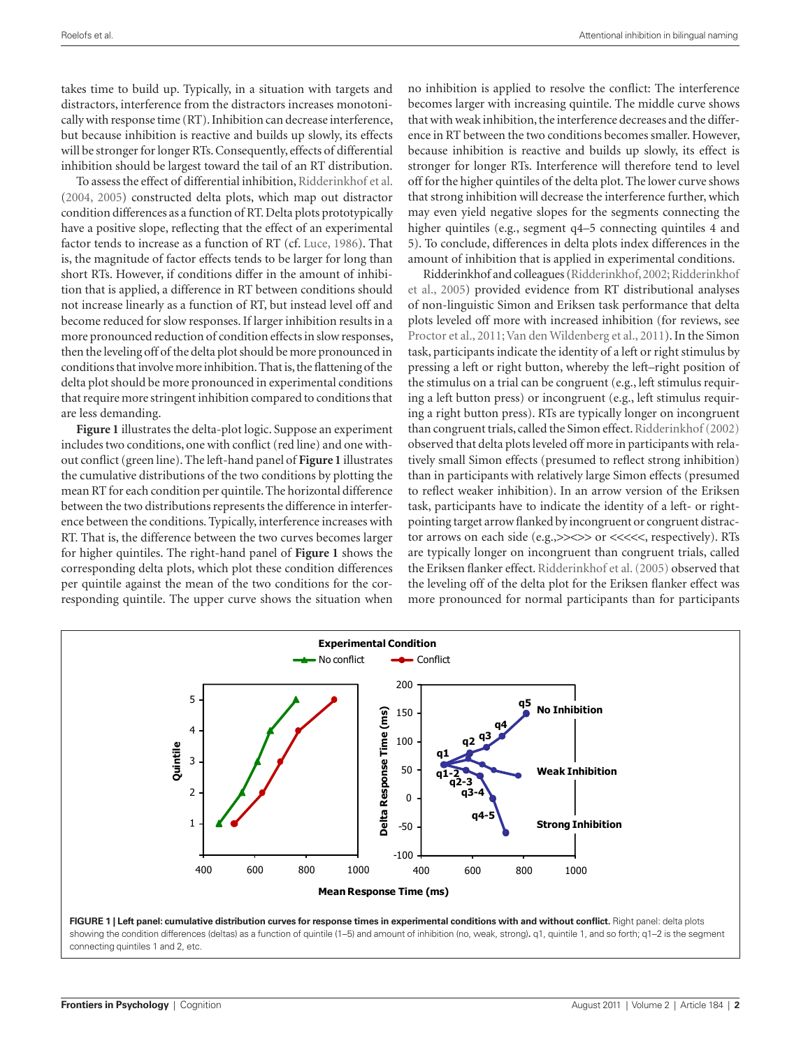takes time to build up. Typically, in a situation with targets and distractors, interference from the distractors increases monotonically with response time (RT). Inhibition can decrease interference, but because inhibition is reactive and builds up slowly, its effects will be stronger for longer RTs. Consequently, effects of differential inhibition should be largest toward the tail of an RT distribution.

To assess the effect of differential inhibition, Ridderinkhof et al. (2004, 2005) constructed delta plots, which map out distractor condition differences as a function of RT. Delta plots prototypically have a positive slope, reflecting that the effect of an experimental factor tends to increase as a function of RT (cf. Luce, 1986). That is, the magnitude of factor effects tends to be larger for long than short RTs. However, if conditions differ in the amount of inhibition that is applied, a difference in RT between conditions should not increase linearly as a function of RT, but instead level off and become reduced for slow responses. If larger inhibition results in a more pronounced reduction of condition effects in slow responses, then the leveling off of the delta plot should be more pronounced in conditions that involve more inhibition. That is, the flattening of the delta plot should be more pronounced in experimental conditions that require more stringent inhibition compared to conditions that are less demanding.

**Figure 1** illustrates the delta-plot logic. Suppose an experiment includes two conditions, one with conflict (red line) and one without conflict (green line). The left-hand panel of **Figure 1** illustrates the cumulative distributions of the two conditions by plotting the mean RT for each condition per quintile. The horizontal difference between the two distributions represents the difference in interference between the conditions. Typically, interference increases with RT. That is, the difference between the two curves becomes larger for higher quintiles. The right-hand panel of **Figure 1** shows the corresponding delta plots, which plot these condition differences per quintile against the mean of the two conditions for the corresponding quintile. The upper curve shows the situation when

no inhibition is applied to resolve the conflict: The interference becomes larger with increasing quintile. The middle curve shows that with weak inhibition, the interference decreases and the difference in RT between the two conditions becomes smaller. However, because inhibition is reactive and builds up slowly, its effect is stronger for longer RTs. Interference will therefore tend to level off for the higher quintiles of the delta plot. The lower curve shows that strong inhibition will decrease the interference further, which may even yield negative slopes for the segments connecting the higher quintiles (e.g., segment q4–5 connecting quintiles 4 and 5). To conclude, differences in delta plots index differences in the amount of inhibition that is applied in experimental conditions.

Ridderinkhof and colleagues (Ridderinkhof, 2002; Ridderinkhof et al., 2005) provided evidence from RT distributional analyses of non-linguistic Simon and Eriksen task performance that delta plots leveled off more with increased inhibition (for reviews, see Proctor et al., 2011; Van den Wildenberg et al., 2011). In the Simon task, participants indicate the identity of a left or right stimulus by pressing a left or right button, whereby the left–right position of the stimulus on a trial can be congruent (e.g., left stimulus requiring a left button press) or incongruent (e.g., left stimulus requiring a right button press). RTs are typically longer on incongruent than congruent trials, called the Simon effect. Ridderinkhof (2002) observed that delta plots leveled off more in participants with relatively small Simon effects (presumed to reflect strong inhibition) than in participants with relatively large Simon effects (presumed to reflect weaker inhibition). In an arrow version of the Eriksen task, participants have to indicate the identity of a left- or rightpointing target arrow flanked by incongruent or congruent distractor arrows on each side (e.g., >><>> or <<<<<, respectively). RTs are typically longer on incongruent than congruent trials, called the Eriksen flanker effect. Ridderinkhof et al. (2005) observed that the leveling off of the delta plot for the Eriksen flanker effect was more pronounced for normal participants than for participants

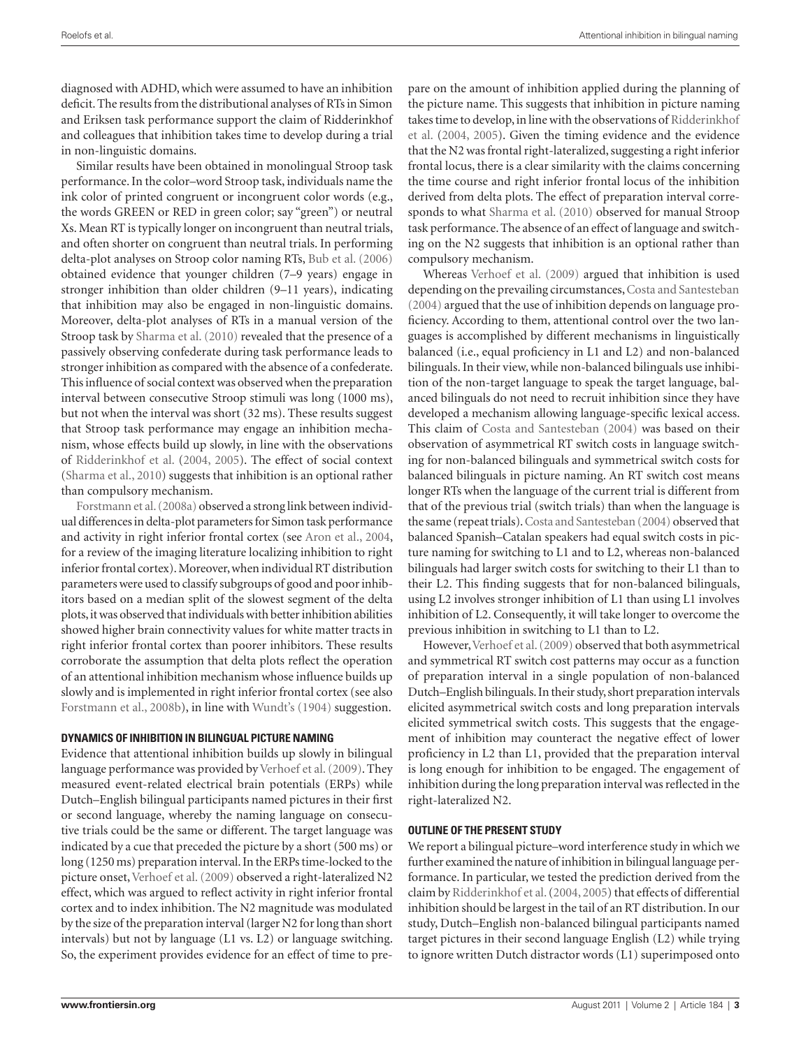diagnosed with ADHD, which were assumed to have an inhibition deficit. The results from the distributional analyses of RTs in Simon and Eriksen task performance support the claim of Ridderinkhof and colleagues that inhibition takes time to develop during a trial in non-linguistic domains.

Similar results have been obtained in monolingual Stroop task performance. In the color–word Stroop task, individuals name the ink color of printed congruent or incongruent color words (e.g., the words GREEN or RED in green color; say "green") or neutral Xs. Mean RT is typically longer on incongruent than neutral trials, and often shorter on congruent than neutral trials. In performing delta-plot analyses on Stroop color naming RTs, Bub et al. (2006) obtained evidence that younger children (7–9 years) engage in stronger inhibition than older children (9–11 years), indicating that inhibition may also be engaged in non-linguistic domains. Moreover, delta-plot analyses of RTs in a manual version of the Stroop task by Sharma et al. (2010) revealed that the presence of a passively observing confederate during task performance leads to stronger inhibition as compared with the absence of a confederate. This influence of social context was observed when the preparation interval between consecutive Stroop stimuli was long (1000 ms), but not when the interval was short (32 ms). These results suggest that Stroop task performance may engage an inhibition mechanism, whose effects build up slowly, in line with the observations of Ridderinkhof et al. (2004, 2005). The effect of social context (Sharma et al., 2010) suggests that inhibition is an optional rather than compulsory mechanism.

Forstmann et al. (2008a) observed a strong link between individual differences in delta-plot parameters for Simon task performance and activity in right inferior frontal cortex (see Aron et al., 2004, for a review of the imaging literature localizing inhibition to right inferior frontal cortex). Moreover, when individual RT distribution parameters were used to classify subgroups of good and poor inhibitors based on a median split of the slowest segment of the delta plots, it was observed that individuals with better inhibition abilities showed higher brain connectivity values for white matter tracts in right inferior frontal cortex than poorer inhibitors. These results corroborate the assumption that delta plots reflect the operation of an attentional inhibition mechanism whose influence builds up slowly and is implemented in right inferior frontal cortex (see also Forstmann et al., 2008b), in line with Wundt's (1904) suggestion.

# **Dynamics of inhibition in bilingual picture naming**

Evidence that attentional inhibition builds up slowly in bilingual language performance was provided by Verhoef et al. (2009). They measured event-related electrical brain potentials (ERPs) while Dutch–English bilingual participants named pictures in their first or second language, whereby the naming language on consecutive trials could be the same or different. The target language was indicated by a cue that preceded the picture by a short (500 ms) or long (1250 ms) preparation interval. In the ERPs time-locked to the picture onset, Verhoef et al. (2009) observed a right-lateralized N2 effect, which was argued to reflect activity in right inferior frontal cortex and to index inhibition. The N2 magnitude was modulated by the size of the preparation interval (larger N2 for long than short intervals) but not by language (L1 vs. L2) or language switching. So, the experiment provides evidence for an effect of time to prepare on the amount of inhibition applied during the planning of the picture name. This suggests that inhibition in picture naming takes time to develop, in line with the observations of Ridderinkhof et al. (2004, 2005). Given the timing evidence and the evidence that the N2 was frontal right-lateralized, suggesting a right inferior frontal locus, there is a clear similarity with the claims concerning the time course and right inferior frontal locus of the inhibition derived from delta plots. The effect of preparation interval corresponds to what Sharma et al. (2010) observed for manual Stroop task performance. The absence of an effect of language and switching on the N2 suggests that inhibition is an optional rather than compulsory mechanism.

Whereas Verhoef et al. (2009) argued that inhibition is used depending on the prevailing circumstances, Costa and Santesteban (2004) argued that the use of inhibition depends on language proficiency. According to them, attentional control over the two languages is accomplished by different mechanisms in linguistically balanced (i.e., equal proficiency in L1 and L2) and non-balanced bilinguals. In their view, while non-balanced bilinguals use inhibition of the non-target language to speak the target language, balanced bilinguals do not need to recruit inhibition since they have developed a mechanism allowing language-specific lexical access. This claim of Costa and Santesteban (2004) was based on their observation of asymmetrical RT switch costs in language switching for non-balanced bilinguals and symmetrical switch costs for balanced bilinguals in picture naming. An RT switch cost means longer RTs when the language of the current trial is different from that of the previous trial (switch trials) than when the language is the same (repeat trials). Costa and Santesteban (2004) observed that balanced Spanish–Catalan speakers had equal switch costs in picture naming for switching to L1 and to L2, whereas non-balanced bilinguals had larger switch costs for switching to their L1 than to their L2. This finding suggests that for non-balanced bilinguals, using L2 involves stronger inhibition of L1 than using L1 involves inhibition of L2. Consequently, it will take longer to overcome the previous inhibition in switching to L1 than to L2.

However, Verhoef et al. (2009) observed that both asymmetrical and symmetrical RT switch cost patterns may occur as a function of preparation interval in a single population of non-balanced Dutch–English bilinguals. In their study, short preparation intervals elicited asymmetrical switch costs and long preparation intervals elicited symmetrical switch costs. This suggests that the engagement of inhibition may counteract the negative effect of lower proficiency in L2 than L1, provided that the preparation interval is long enough for inhibition to be engaged. The engagement of inhibition during the long preparation interval was reflected in the right-lateralized N2.

# **Outline of the present study**

We report a bilingual picture–word interference study in which we further examined the nature of inhibition in bilingual language performance. In particular, we tested the prediction derived from the claim by Ridderinkhof et al. (2004, 2005) that effects of differential inhibition should be largest in the tail of an RT distribution. In our study, Dutch–English non-balanced bilingual participants named target pictures in their second language English (L2) while trying to ignore written Dutch distractor words (L1) superimposed onto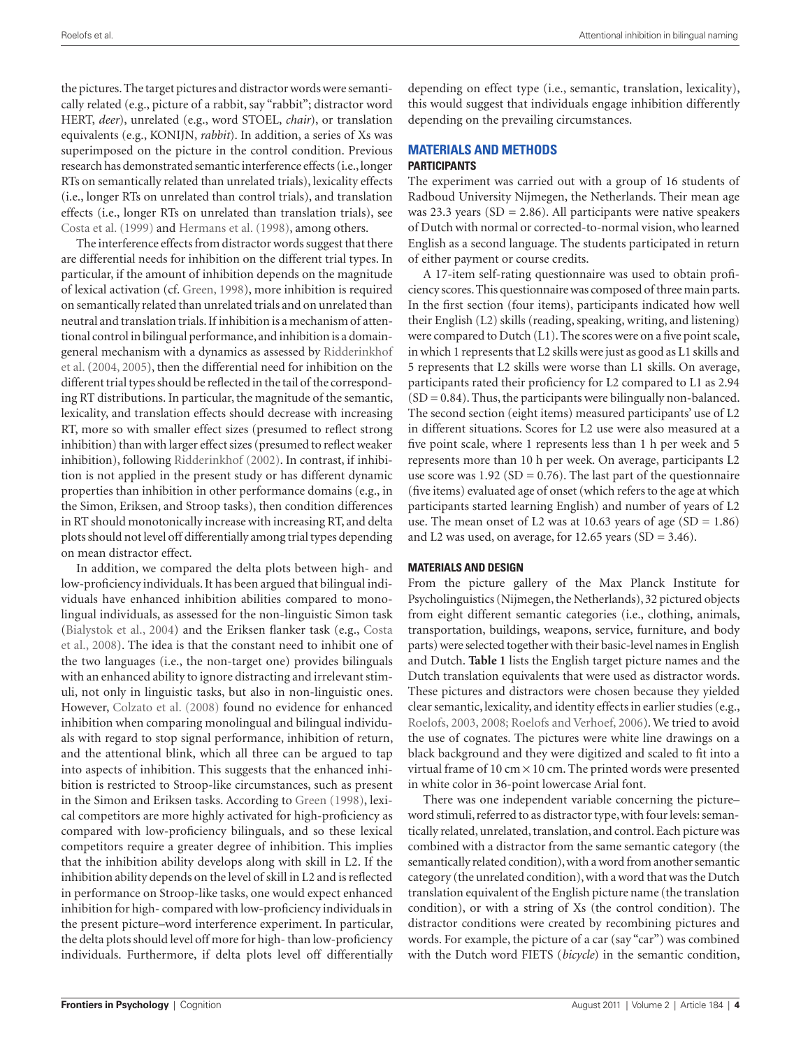the pictures. The target pictures and distractor words were semantically related (e.g., picture of a rabbit, say "rabbit"; distractor word HERT, *deer*), unrelated (e.g., word STOEL, *chair*), or translation equivalents (e.g., KONIJN, *rabbit*). In addition, a series of Xs was superimposed on the picture in the control condition. Previous research has demonstrated semantic interference effects (i.e., longer RTs on semantically related than unrelated trials), lexicality effects (i.e., longer RTs on unrelated than control trials), and translation effects (i.e., longer RTs on unrelated than translation trials), see Costa et al. (1999) and Hermans et al. (1998), among others.

The interference effects from distractor words suggest that there are differential needs for inhibition on the different trial types. In particular, if the amount of inhibition depends on the magnitude of lexical activation (cf. Green, 1998), more inhibition is required on semantically related than unrelated trials and on unrelated than neutral and translation trials. If inhibition is a mechanism of attentional control in bilingual performance, and inhibition is a domaingeneral mechanism with a dynamics as assessed by Ridderinkhof et al. (2004, 2005), then the differential need for inhibition on the different trial types should be reflected in the tail of the corresponding RT distributions. In particular, the magnitude of the semantic, lexicality, and translation effects should decrease with increasing RT, more so with smaller effect sizes (presumed to reflect strong inhibition) than with larger effect sizes (presumed to reflect weaker inhibition), following Ridderinkhof (2002). In contrast, if inhibition is not applied in the present study or has different dynamic properties than inhibition in other performance domains (e.g., in the Simon, Eriksen, and Stroop tasks), then condition differences in RT should monotonically increase with increasing RT, and delta plots should not level off differentially among trial types depending on mean distractor effect.

In addition, we compared the delta plots between high- and low-proficiency individuals. It has been argued that bilingual individuals have enhanced inhibition abilities compared to monolingual individuals, as assessed for the non-linguistic Simon task (Bialystok et al., 2004) and the Eriksen flanker task (e.g., Costa et al., 2008). The idea is that the constant need to inhibit one of the two languages (i.e., the non-target one) provides bilinguals with an enhanced ability to ignore distracting and irrelevant stimuli, not only in linguistic tasks, but also in non-linguistic ones. However, Colzato et al. (2008) found no evidence for enhanced inhibition when comparing monolingual and bilingual individuals with regard to stop signal performance, inhibition of return, and the attentional blink, which all three can be argued to tap into aspects of inhibition. This suggests that the enhanced inhibition is restricted to Stroop-like circumstances, such as present in the Simon and Eriksen tasks. According to Green (1998), lexical competitors are more highly activated for high-proficiency as compared with low-proficiency bilinguals, and so these lexical competitors require a greater degree of inhibition. This implies that the inhibition ability develops along with skill in L2. If the inhibition ability depends on the level of skill in L2 and is reflected in performance on Stroop-like tasks, one would expect enhanced inhibition for high- compared with low-proficiency individuals in the present picture–word interference experiment. In particular, the delta plots should level off more for high- than low-proficiency individuals. Furthermore, if delta plots level off differentially depending on effect type (i.e., semantic, translation, lexicality), this would suggest that individuals engage inhibition differently depending on the prevailing circumstances.

# **Materials and methods**

# **Participants**

The experiment was carried out with a group of 16 students of Radboud University Nijmegen, the Netherlands. Their mean age was 23.3 years ( $SD = 2.86$ ). All participants were native speakers of Dutch with normal or corrected-to-normal vision, who learned English as a second language. The students participated in return of either payment or course credits.

A 17-item self-rating questionnaire was used to obtain proficiency scores. This questionnaire was composed of three main parts. In the first section (four items), participants indicated how well their English (L2) skills (reading, speaking, writing, and listening) were compared to Dutch (L1). The scores were on a five point scale, in which 1 represents that L2 skills were just as good as L1 skills and 5 represents that L2 skills were worse than L1 skills. On average, participants rated their proficiency for L2 compared to L1 as 2.94  $(SD = 0.84)$ . Thus, the participants were bilingually non-balanced. The second section (eight items) measured participants' use of L2 in different situations. Scores for L2 use were also measured at a five point scale, where 1 represents less than 1 h per week and 5 represents more than 10 h per week. On average, participants L2 use score was  $1.92$  (SD = 0.76). The last part of the questionnaire (five items) evaluated age of onset (which refers to the age at which participants started learning English) and number of years of L2 use. The mean onset of L2 was at 10.63 years of age  $(SD = 1.86)$ and L2 was used, on average, for 12.65 years  $(SD = 3.46)$ .

# **Materials and design**

From the picture gallery of the Max Planck Institute for Psycholinguistics (Nijmegen, the Netherlands), 32 pictured objects from eight different semantic categories (i.e., clothing, animals, transportation, buildings, weapons, service, furniture, and body parts) were selected together with their basic-level names in English and Dutch. **Table 1** lists the English target picture names and the Dutch translation equivalents that were used as distractor words. These pictures and distractors were chosen because they yielded clear semantic, lexicality, and identity effects in earlier studies (e.g., Roelofs, 2003, 2008; Roelofs and Verhoef, 2006). We tried to avoid the use of cognates. The pictures were white line drawings on a black background and they were digitized and scaled to fit into a virtual frame of 10 cm  $\times$  10 cm. The printed words were presented in white color in 36-point lowercase Arial font.

There was one independent variable concerning the picture– word stimuli, referred to as distractor type, with four levels: semantically related, unrelated, translation, and control. Each picture was combined with a distractor from the same semantic category (the semantically related condition), with a word from another semantic category (the unrelated condition), with a word that was the Dutch translation equivalent of the English picture name (the translation condition), or with a string of Xs (the control condition). The distractor conditions were created by recombining pictures and words. For example, the picture of a car (say "car") was combined with the Dutch word FIETS (*bicycle*) in the semantic condition,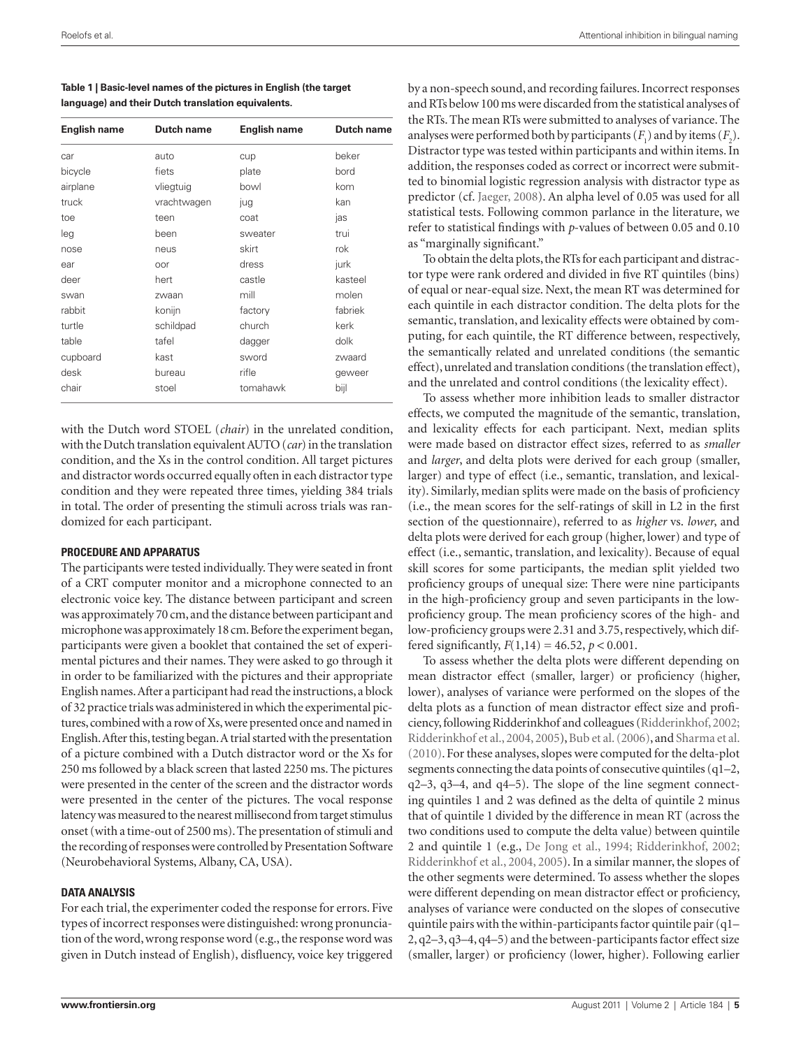| Table 1   Basic-level names of the pictures in English (the target |
|--------------------------------------------------------------------|
| language) and their Dutch translation equivalents.                 |

| <b>English name</b> | <b>Dutch name</b> | <b>English name</b> | Dutch name |
|---------------------|-------------------|---------------------|------------|
| car                 | auto              | cup                 | beker      |
| bicycle             | fiets             | plate               | bord       |
| airplane            | vliegtuig         | bowl                | kom        |
| truck               | vrachtwagen       | jug                 | kan        |
| toe                 | teen              | coat                | jas        |
| leg                 | been              | sweater             | trui       |
| nose                | neus              | skirt               | rok        |
| ear                 | oor               | dress               | jurk       |
| deer                | hert              | castle              | kasteel    |
| swan                | zwaan             | mill                | molen      |
| rabbit              | konijn            | factory             | fabriek    |
| turtle              | schildpad         | church              | kerk       |
| table               | tafel             | dagger              | dolk       |
| cupboard            | kast              | sword               | zwaard     |
| desk                | bureau            | rifle               | geweer     |
| chair               | stoel             | tomahawk            | bijl       |

with the Dutch word STOEL (*chair*) in the unrelated condition, with the Dutch translation equivalent AUTO (*car*) in the translation condition, and the Xs in the control condition. All target pictures and distractor words occurred equally often in each distractor type condition and they were repeated three times, yielding 384 trials in total. The order of presenting the stimuli across trials was randomized for each participant.

#### **Procedure and apparatus**

The participants were tested individually. They were seated in front of a CRT computer monitor and a microphone connected to an electronic voice key. The distance between participant and screen was approximately 70 cm, and the distance between participant and microphone was approximately 18 cm. Before the experiment began, participants were given a booklet that contained the set of experimental pictures and their names. They were asked to go through it in order to be familiarized with the pictures and their appropriate English names. After a participant had read the instructions, a block of 32 practice trials was administered in which the experimental pictures, combined with a row of Xs, were presented once and named in English. After this, testing began. A trial started with the presentation of a picture combined with a Dutch distractor word or the Xs for 250 ms followed by a black screen that lasted 2250 ms. The pictures were presented in the center of the screen and the distractor words were presented in the center of the pictures. The vocal response latency was measured to the nearest millisecond from target stimulus onset (with a time-out of 2500 ms). The presentation of stimuli and the recording of responses were controlled by Presentation Software (Neurobehavioral Systems, Albany, CA, USA).

#### **Data analysis**

For each trial, the experimenter coded the response for errors. Five types of incorrect responses were distinguished: wrong pronunciation of the word, wrong response word (e.g., the response word was given in Dutch instead of English), disfluency, voice key triggered

by a non-speech sound, and recording failures. Incorrect responses and RTs below 100 ms were discarded from the statistical analyses of the RTs. The mean RTs were submitted to analyses of variance. The analyses were performed both by participants  $(F_1)$  and by items  $(F_2)$ . Distractor type was tested within participants and within items. In addition, the responses coded as correct or incorrect were submitted to binomial logistic regression analysis with distractor type as predictor (cf. Jaeger, 2008). An alpha level of 0.05 was used for all statistical tests. Following common parlance in the literature, we refer to statistical findings with *p*-values of between 0.05 and 0.10 as "marginally significant."

To obtain the delta plots, the RTs for each participant and distractor type were rank ordered and divided in five RT quintiles (bins) of equal or near-equal size. Next, the mean RT was determined for each quintile in each distractor condition. The delta plots for the semantic, translation, and lexicality effects were obtained by computing, for each quintile, the RT difference between, respectively, the semantically related and unrelated conditions (the semantic effect), unrelated and translation conditions (the translation effect), and the unrelated and control conditions (the lexicality effect).

To assess whether more inhibition leads to smaller distractor effects, we computed the magnitude of the semantic, translation, and lexicality effects for each participant. Next, median splits were made based on distractor effect sizes, referred to as *smaller* and *larger*, and delta plots were derived for each group (smaller, larger) and type of effect (i.e., semantic, translation, and lexicality). Similarly, median splits were made on the basis of proficiency (i.e., the mean scores for the self-ratings of skill in L2 in the first section of the questionnaire), referred to as *higher* vs. *lower*, and delta plots were derived for each group (higher, lower) and type of effect (i.e., semantic, translation, and lexicality). Because of equal skill scores for some participants, the median split yielded two proficiency groups of unequal size: There were nine participants in the high-proficiency group and seven participants in the lowproficiency group. The mean proficiency scores of the high- and low-proficiency groups were 2.31 and 3.75, respectively, which differed significantly,  $F(1,14) = 46.52$ ,  $p < 0.001$ .

To assess whether the delta plots were different depending on mean distractor effect (smaller, larger) or proficiency (higher, lower), analyses of variance were performed on the slopes of the delta plots as a function of mean distractor effect size and proficiency, following Ridderinkhof and colleagues (Ridderinkhof, 2002; Ridderinkhof et al., 2004, 2005), Bub et al. (2006), and Sharma et al. (2010). For these analyses, slopes were computed for the delta-plot segments connecting the data points of consecutive quintiles (q1–2, q2–3, q3–4, and q4–5). The slope of the line segment connecting quintiles 1 and 2 was defined as the delta of quintile 2 minus that of quintile 1 divided by the difference in mean RT (across the two conditions used to compute the delta value) between quintile 2 and quintile 1 (e.g., De Jong et al., 1994; Ridderinkhof, 2002; Ridderinkhof et al., 2004, 2005). In a similar manner, the slopes of the other segments were determined. To assess whether the slopes were different depending on mean distractor effect or proficiency, analyses of variance were conducted on the slopes of consecutive quintile pairs with the within-participants factor quintile pair (q1– 2, q2–3, q3–4, q4–5) and the between-participants factor effect size (smaller, larger) or proficiency (lower, higher). Following earlier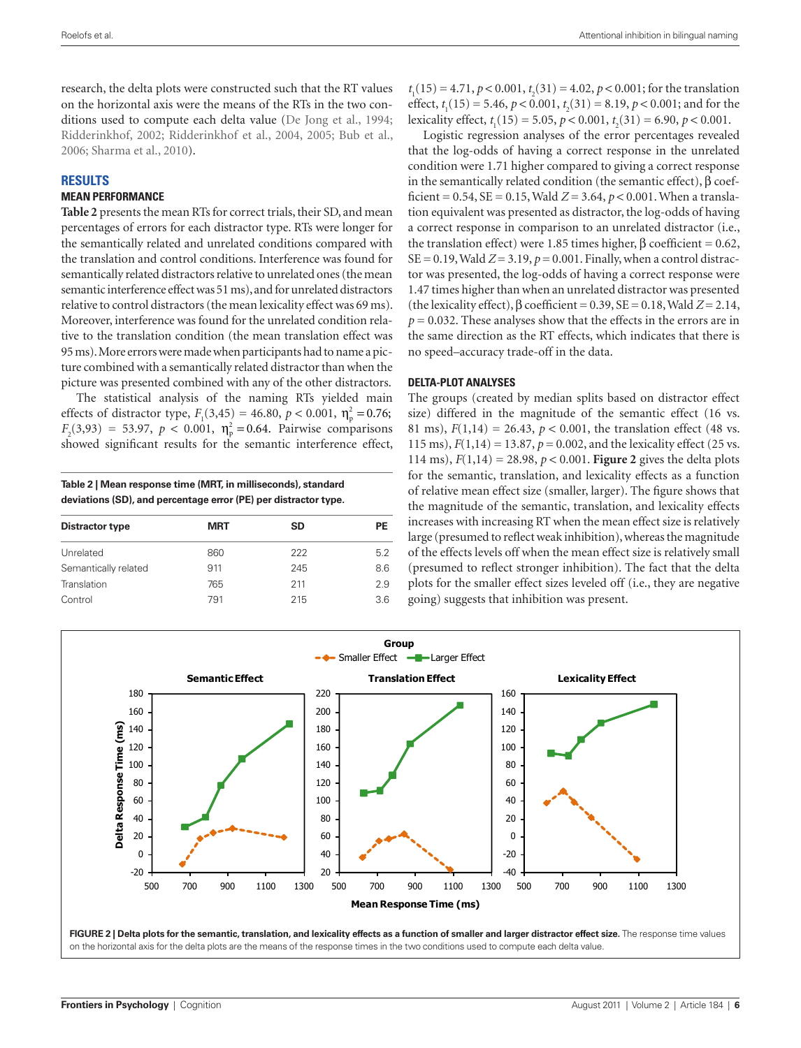research, the delta plots were constructed such that the RT values on the horizontal axis were the means of the RTs in the two conditions used to compute each delta value (De Jong et al., 1994; Ridderinkhof, 2002; Ridderinkhof et al., 2004, 2005; Bub et al., 2006; Sharma et al., 2010).

# **Results**

# **Mean performance**

**Table 2** presents the mean RTs for correct trials, their SD, and mean percentages of errors for each distractor type. RTs were longer for the semantically related and unrelated conditions compared with the translation and control conditions. Interference was found for semantically related distractors relative to unrelated ones (the mean semantic interference effect was 51ms), and for unrelated distractors relative to control distractors (the mean lexicality effect was 69 ms). Moreover, interference was found for the unrelated condition relative to the translation condition (the mean translation effect was 95ms). More errors were made when participants had to name a picture combined with a semantically related distractor than when the picture was presented combined with any of the other distractors.

The statistical analysis of the naming RTs yielded main effects of distractor type,  $F_1(3,45) = 46.80, p < 0.001, \eta_p^2 = 0.76;$  $F_2(3,93) = 53.97, p < 0.001, \eta_p^2 = 0.64$ . Pairwise comparisons showed significant results for the semantic interference effect,

**Table 2 | Mean response time (MRT, in milliseconds), standard deviations (SD), and percentage error (PE) per distractor type.**

| <b>MRT</b> | SD  | PE  |
|------------|-----|-----|
| 860        | 222 | 5.2 |
| 911        | 245 | 8.6 |
| 765        | 211 | 2.9 |
| 791        | 215 | 3.6 |
|            |     |     |

*t* 1 (15) = 4.71, *p* < 0.001, *t* 2 (31) = 4.02, *p* < 0.001; for the translation effect,  $t_1(15) = 5.46$ ,  $p < 0.001$ ,  $t_2(31) = 8.19$ ,  $p < 0.001$ ; and for the lexicality effect,  $t_1(15) = 5.05$ ,  $p < 0.001$ ,  $t_2(31) = 6.90$ ,  $p < 0.001$ .

Logistic regression analyses of the error percentages revealed that the log-odds of having a correct response in the unrelated condition were 1.71 higher compared to giving a correct response in the semantically related condition (the semantic effect), β coefficient =  $0.54$ ,  $SE = 0.15$ , Wald  $Z = 3.64$ ,  $p < 0.001$ . When a translation equivalent was presented as distractor, the log-odds of having a correct response in comparison to an unrelated distractor (i.e., the translation effect) were 1.85 times higher, β coefficient =  $0.62$ ,  $SE = 0.19$ , Wald  $Z = 3.19$ ,  $p = 0.001$ . Finally, when a control distractor was presented, the log-odds of having a correct response were 1.47 times higher than when an unrelated distractor was presented (the lexicality effect),  $\beta$  coefficient = 0.39, SE = 0.18, Wald  $Z = 2.14$ ,  $p = 0.032$ . These analyses show that the effects in the errors are in the same direction as the RT effects, which indicates that there is no speed–accuracy trade-off in the data.

#### **Delta-plot analyses**

The groups (created by median splits based on distractor effect size) differed in the magnitude of the semantic effect (16 vs. 81 ms),  $F(1,14) = 26.43$ ,  $p < 0.001$ , the translation effect (48 vs. 115 ms), *F*(1,14) = 13.87, *p* = 0.002, and the lexicality effect (25 vs. 114 ms),  $F(1,14) = 28.98$ ,  $p < 0.001$ . **Figure 2** gives the delta plots for the semantic, translation, and lexicality effects as a function of relative mean effect size (smaller, larger). The figure shows that the magnitude of the semantic, translation, and lexicality effects increases with increasing RT when the mean effect size is relatively large (presumed to reflect weak inhibition), whereas the magnitude of the effects levels off when the mean effect size is relatively small (presumed to reflect stronger inhibition). The fact that the delta plots for the smaller effect sizes leveled off (i.e., they are negative going) suggests that inhibition was present.

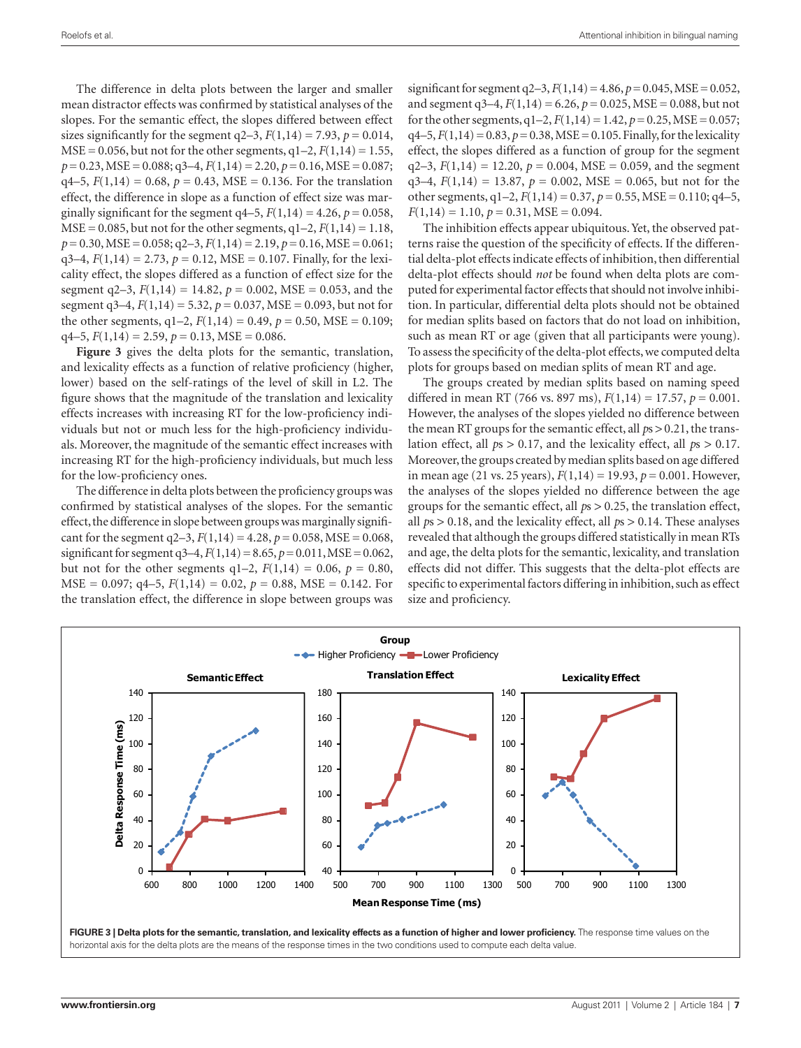The difference in delta plots between the larger and smaller mean distractor effects was confirmed by statistical analyses of the slopes. For the semantic effect, the slopes differed between effect sizes significantly for the segment  $q2-3$ ,  $F(1,14) = 7.93$ ,  $p = 0.014$ ,  $MSE = 0.056$ , but not for the other segments,  $q1-2$ ,  $F(1,14) = 1.55$ , *p* = 0.23, MSE = 0.088; q3–4, *F*(1,14) = 2.20, *p* = 0.16, MSE = 0.087;  $q4–5, F(1,14) = 0.68, p = 0.43, MSE = 0.136$ . For the translation effect, the difference in slope as a function of effect size was marginally significant for the segment  $q4-5$ ,  $F(1,14) = 4.26$ ,  $p = 0.058$ ,  $MSE = 0.085$ , but not for the other segments,  $q1-2$ ,  $F(1,14) = 1.18$ , *p* = 0.30, MSE = 0.058; q2–3, *F*(1,14) = 2.19, *p* = 0.16, MSE = 0.061;  $q3-4$ ,  $F(1,14) = 2.73$ ,  $p = 0.12$ , MSE = 0.107. Finally, for the lexicality effect, the slopes differed as a function of effect size for the segment  $q2-3$ ,  $F(1,14) = 14.82$ ,  $p = 0.002$ , MSE = 0.053, and the segment q3–4,  $F(1,14) = 5.32$ ,  $p = 0.037$ , MSE = 0.093, but not for the other segments,  $q1-2$ ,  $F(1,14) = 0.49$ ,  $p = 0.50$ , MSE = 0.109;  $q4-5$ ,  $F(1,14) = 2.59$ ,  $p = 0.13$ , MSE = 0.086.

**Figure 3** gives the delta plots for the semantic, translation, and lexicality effects as a function of relative proficiency (higher, lower) based on the self-ratings of the level of skill in L2. The figure shows that the magnitude of the translation and lexicality effects increases with increasing RT for the low-proficiency individuals but not or much less for the high-proficiency individuals. Moreover, the magnitude of the semantic effect increases with increasing RT for the high-proficiency individuals, but much less for the low-proficiency ones.

The difference in delta plots between the proficiency groups was confirmed by statistical analyses of the slopes. For the semantic effect, the difference in slope between groups was marginally significant for the segment  $q2-3$ ,  $F(1,14) = 4.28$ ,  $p = 0.058$ , MSE = 0.068, significant for segment q3–4, *F*(1,14)=8.65, *p*=0.011, MSE=0.062, but not for the other segments  $q1-2$ ,  $F(1,14) = 0.06$ ,  $p = 0.80$ , MSE = 0.097; q4–5, *F*(1,14) = 0.02, *p* = 0.88, MSE = 0.142. For the translation effect, the difference in slope between groups was

significant for segment  $q2-3$ ,  $F(1,14) = 4.86$ ,  $p = 0.045$ , MSE = 0.052, and segment  $q3-4$ ,  $F(1,14) = 6.26$ ,  $p = 0.025$ , MSE = 0.088, but not for the other segments,  $q1-2$ ,  $F(1,14) = 1.42$ ,  $p = 0.25$ , MSE = 0.057;  $q4–5, F(1,14) = 0.83, p = 0.38, MSE = 0.105. Finally, for the lexicality$ effect, the slopes differed as a function of group for the segment  $q2-3$ ,  $F(1,14) = 12.20$ ,  $p = 0.004$ , MSE = 0.059, and the segment  $q3-4$ ,  $F(1,14) = 13.87$ ,  $p = 0.002$ , MSE = 0.065, but not for the other segments,  $q1-2$ ,  $F(1,14) = 0.37$ ,  $p = 0.55$ , MSE = 0.110;  $q4-5$ ,  $F(1,14) = 1.10, p = 0.31, MSE = 0.094.$ 

The inhibition effects appear ubiquitous. Yet, the observed patterns raise the question of the specificity of effects. If the differential delta-plot effects indicate effects of inhibition, then differential delta-plot effects should *not* be found when delta plots are computed for experimental factor effects that should not involve inhibition. In particular, differential delta plots should not be obtained for median splits based on factors that do not load on inhibition, such as mean RT or age (given that all participants were young). To assess the specificity of the delta-plot effects, we computed delta plots for groups based on median splits of mean RT and age.

The groups created by median splits based on naming speed differed in mean RT (766 vs. 897 ms), *F*(1,14) = 17.57, *p* = 0.001. However, the analyses of the slopes yielded no difference between the mean RT groups for the semantic effect, all *p*s > 0.21, the translation effect, all *p*s > 0.17, and the lexicality effect, all *p*s > 0.17. Moreover, the groups created by median splits based on age differed in mean age (21 vs. 25 years), *F*(1,14) = 19.93, *p* = 0.001. However, the analyses of the slopes yielded no difference between the age groups for the semantic effect, all *p*s > 0.25, the translation effect, all *p*s > 0.18, and the lexicality effect, all *p*s > 0.14. These analyses revealed that although the groups differed statistically in mean RTs and age, the delta plots for the semantic, lexicality, and translation effects did not differ. This suggests that the delta-plot effects are specific to experimental factors differing in inhibition, such as effect size and proficiency.

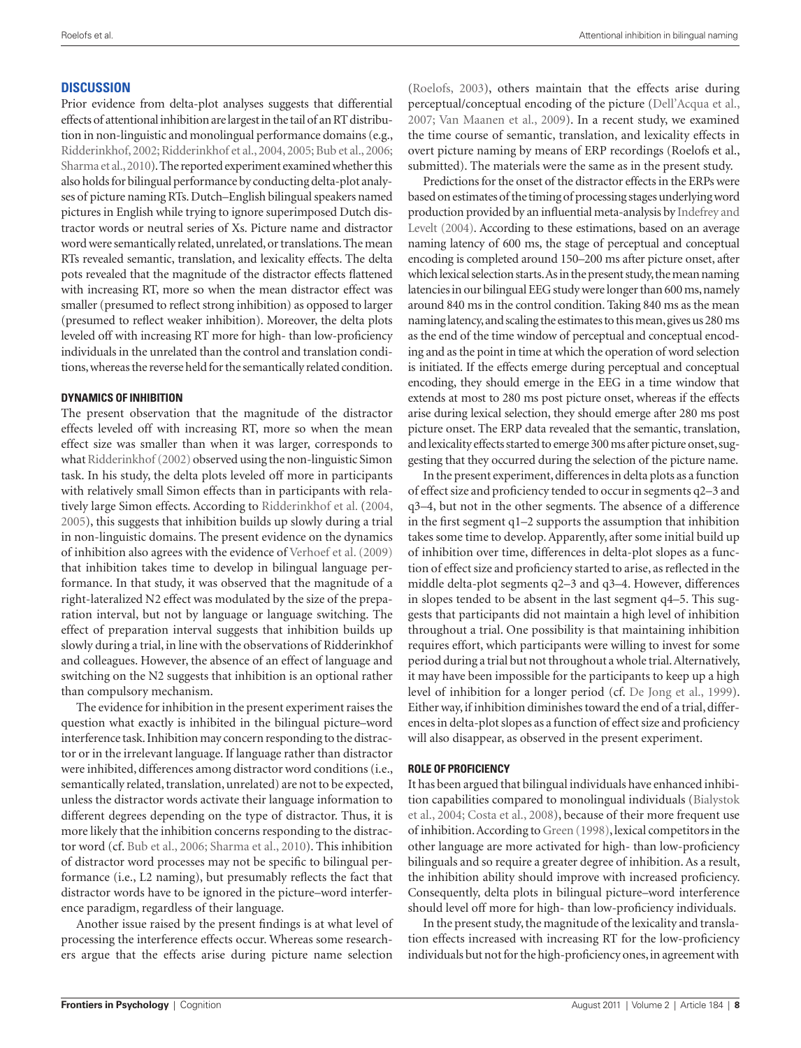# **Discussion**

Prior evidence from delta-plot analyses suggests that differential effects of attentional inhibition are largest in the tail of an RT distribution in non-linguistic and monolingual performance domains (e.g., Ridderinkhof, 2002; Ridderinkhof et al., 2004, 2005; Bub et al., 2006; Sharma et al., 2010). The reported experiment examined whether this also holds for bilingual performance by conducting delta-plot analyses of picture naming RTs. Dutch–English bilingual speakers named pictures in English while trying to ignore superimposed Dutch distractor words or neutral series of Xs. Picture name and distractor word were semantically related, unrelated, or translations. The mean RTs revealed semantic, translation, and lexicality effects. The delta pots revealed that the magnitude of the distractor effects flattened with increasing RT, more so when the mean distractor effect was smaller (presumed to reflect strong inhibition) as opposed to larger (presumed to reflect weaker inhibition). Moreover, the delta plots leveled off with increasing RT more for high- than low-proficiency individuals in the unrelated than the control and translation conditions, whereas the reverse held for the semantically related condition.

# **Dynamics of inhibition**

The present observation that the magnitude of the distractor effects leveled off with increasing RT, more so when the mean effect size was smaller than when it was larger, corresponds to what Ridderinkhof (2002) observed using the non-linguistic Simon task. In his study, the delta plots leveled off more in participants with relatively small Simon effects than in participants with relatively large Simon effects. According to Ridderinkhof et al. (2004, 2005), this suggests that inhibition builds up slowly during a trial in non-linguistic domains. The present evidence on the dynamics of inhibition also agrees with the evidence of Verhoef et al. (2009) that inhibition takes time to develop in bilingual language performance. In that study, it was observed that the magnitude of a right-lateralized N2 effect was modulated by the size of the preparation interval, but not by language or language switching. The effect of preparation interval suggests that inhibition builds up slowly during a trial, in line with the observations of Ridderinkhof and colleagues. However, the absence of an effect of language and switching on the N2 suggests that inhibition is an optional rather than compulsory mechanism.

The evidence for inhibition in the present experiment raises the question what exactly is inhibited in the bilingual picture–word interference task. Inhibition may concern responding to the distractor or in the irrelevant language. If language rather than distractor were inhibited, differences among distractor word conditions (i.e., semantically related, translation, unrelated) are not to be expected, unless the distractor words activate their language information to different degrees depending on the type of distractor. Thus, it is more likely that the inhibition concerns responding to the distractor word (cf. Bub et al., 2006; Sharma et al., 2010). This inhibition of distractor word processes may not be specific to bilingual performance (i.e., L2 naming), but presumably reflects the fact that distractor words have to be ignored in the picture–word interference paradigm, regardless of their language.

Another issue raised by the present findings is at what level of processing the interference effects occur. Whereas some researchers argue that the effects arise during picture name selection

(Roelofs, 2003), others maintain that the effects arise during perceptual/conceptual encoding of the picture (Dell'Acqua et al., 2007; Van Maanen et al., 2009). In a recent study, we examined the time course of semantic, translation, and lexicality effects in overt picture naming by means of ERP recordings (Roelofs et al., submitted). The materials were the same as in the present study.

Predictions for the onset of the distractor effects in the ERPs were based on estimates of the timing of processing stages underlying word production provided by an influential meta-analysis by Indefrey and Levelt (2004). According to these estimations, based on an average naming latency of 600 ms, the stage of perceptual and conceptual encoding is completed around 150–200 ms after picture onset, after which lexical selection starts. As in the present study, the mean naming latencies in our bilingual EEG study were longer than 600 ms, namely around 840 ms in the control condition. Taking 840 ms as the mean naming latency, and scaling the estimates to this mean, gives us 280 ms as the end of the time window of perceptual and conceptual encoding and as the point in time at which the operation of word selection is initiated. If the effects emerge during perceptual and conceptual encoding, they should emerge in the EEG in a time window that extends at most to 280 ms post picture onset, whereas if the effects arise during lexical selection, they should emerge after 280 ms post picture onset. The ERP data revealed that the semantic, translation, and lexicality effects started to emerge 300 ms after picture onset, suggesting that they occurred during the selection of the picture name.

In the present experiment, differences in delta plots as a function of effect size and proficiency tended to occur in segments q2–3 and q3–4, but not in the other segments. The absence of a difference in the first segment q1–2 supports the assumption that inhibition takes some time to develop. Apparently, after some initial build up of inhibition over time, differences in delta-plot slopes as a function of effect size and proficiency started to arise, as reflected in the middle delta-plot segments q2–3 and q3–4. However, differences in slopes tended to be absent in the last segment q4–5. This suggests that participants did not maintain a high level of inhibition throughout a trial. One possibility is that maintaining inhibition requires effort, which participants were willing to invest for some period during a trial but not throughout a whole trial. Alternatively, it may have been impossible for the participants to keep up a high level of inhibition for a longer period (cf. De Jong et al., 1999). Either way, if inhibition diminishes toward the end of a trial, differences in delta-plot slopes as a function of effect size and proficiency will also disappear, as observed in the present experiment.

# **Role of proficiency**

It has been argued that bilingual individuals have enhanced inhibition capabilities compared to monolingual individuals (Bialystok et al., 2004; Costa et al., 2008), because of their more frequent use of inhibition. According to Green (1998), lexical competitors in the other language are more activated for high- than low-proficiency bilinguals and so require a greater degree of inhibition. As a result, the inhibition ability should improve with increased proficiency. Consequently, delta plots in bilingual picture–word interference should level off more for high- than low-proficiency individuals.

In the present study, the magnitude of the lexicality and translation effects increased with increasing RT for the low-proficiency individuals but not for the high-proficiency ones, in agreement with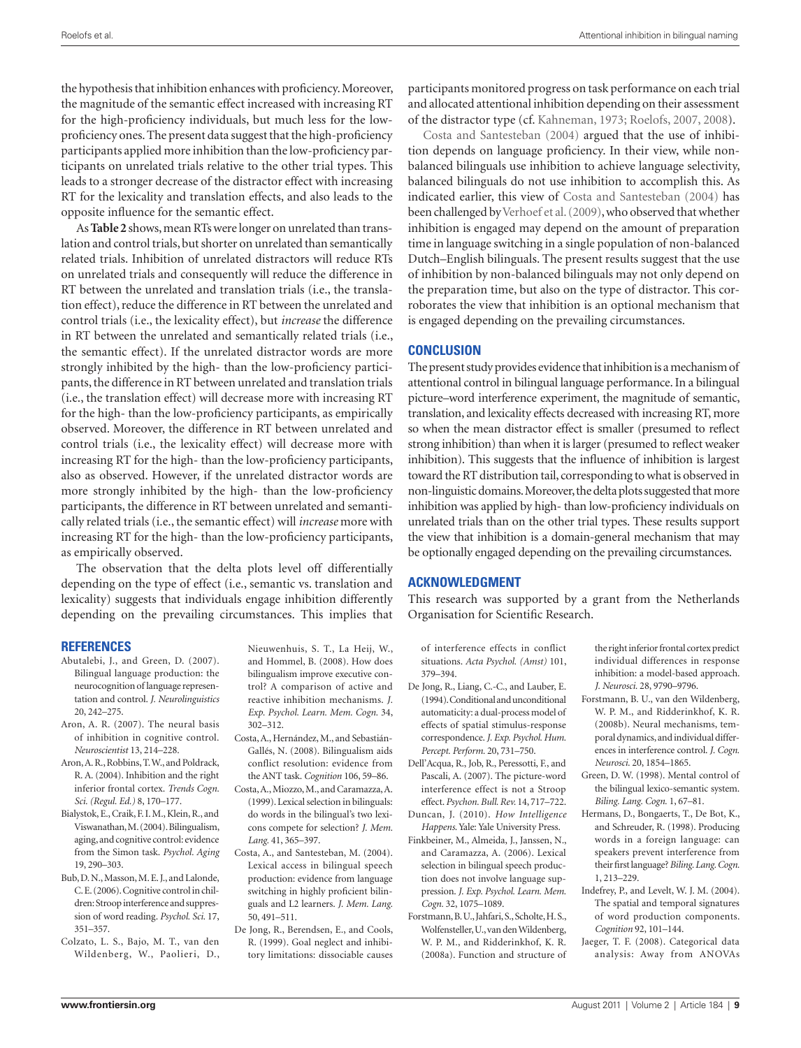the hypothesis that inhibition enhances with proficiency. Moreover, the magnitude of the semantic effect increased with increasing RT for the high-proficiency individuals, but much less for the lowproficiency ones. The present data suggest that the high-proficiency participants applied more inhibition than the low-proficiency participants on unrelated trials relative to the other trial types. This leads to a stronger decrease of the distractor effect with increasing RT for the lexicality and translation effects, and also leads to the opposite influence for the semantic effect.

As **Table 2** shows, mean RTs were longer on unrelated than translation and control trials, but shorter on unrelated than semantically related trials. Inhibition of unrelated distractors will reduce RTs on unrelated trials and consequently will reduce the difference in RT between the unrelated and translation trials (i.e., the translation effect), reduce the difference in RT between the unrelated and control trials (i.e., the lexicality effect), but *increase* the difference in RT between the unrelated and semantically related trials (i.e., the semantic effect). If the unrelated distractor words are more strongly inhibited by the high- than the low-proficiency participants, the difference in RT between unrelated and translation trials (i.e., the translation effect) will decrease more with increasing RT for the high- than the low-proficiency participants, as empirically observed. Moreover, the difference in RT between unrelated and control trials (i.e., the lexicality effect) will decrease more with increasing RT for the high- than the low-proficiency participants, also as observed. However, if the unrelated distractor words are more strongly inhibited by the high- than the low-proficiency participants, the difference in RT between unrelated and semantically related trials (i.e., the semantic effect) will *increase* more with increasing RT for the high- than the low-proficiency participants, as empirically observed.

The observation that the delta plots level off differentially depending on the type of effect (i.e., semantic vs. translation and lexicality) suggests that individuals engage inhibition differently depending on the prevailing circumstances. This implies that

#### **References**

- Abutalebi, J., and Green, D. (2007). Bilingual language production: the neurocognition of language representation and control. *J. Neurolinguistics*  20, 242–275.
- Aron, A. R. (2007). The neural basis of inhibition in cognitive control. *Neuroscientist* 13, 214–228.
- Aron, A. R., Robbins, T. W., and Poldrack, R. A. (2004). Inhibition and the right inferior frontal cortex. *Trends Cogn. Sci. (Regul. Ed.)* 8, 170–177.
- Bialystok, E., Craik, F. I. M., Klein, R., and Viswanathan, M. (2004). Bilingualism, aging, and cognitive control: evidence from the Simon task. *Psychol. Aging*  19, 290–303.
- Bub, D. N., Masson, M. E. J., and Lalonde, C. E. (2006). Cognitive control in children: Stroop interference and suppression of word reading. *Psychol. Sci.* 17, 351–357.
- Colzato, L. S., Bajo, M. T., van den Wildenberg, W., Paolieri, D.,
- Nieuwenhuis, S. T., La Heij, W., and Hommel, B. (2008). How does bilingualism improve executive control? A comparison of active and reactive inhibition mechanisms. *J. Exp. Psychol. Learn. Mem. Cogn.* 34, 302–312.
- Costa, A., Hernández, M., and Sebastián-Gallés, N. (2008). Bilingualism aids conflict resolution: evidence from the ANT task. *Cognition* 106, 59–86.
- Costa, A., Miozzo, M., and Caramazza, A. (1999). Lexical selection in bilinguals: do words in the bilingual's two lexicons compete for selection? *J. Mem. Lang.* 41, 365–397.
- Costa, A., and Santesteban, M. (2004). Lexical access in bilingual speech production: evidence from language switching in highly proficient bilinguals and L2 learners. *J. Mem. Lang.*  50, 491–511.
- De Jong, R., Berendsen, E., and Cools, R. (1999). Goal neglect and inhibitory limitations: dissociable causes

participants monitored progress on task performance on each trial and allocated attentional inhibition depending on their assessment of the distractor type (cf. Kahneman, 1973; Roelofs, 2007, 2008).

Costa and Santesteban (2004) argued that the use of inhibition depends on language proficiency. In their view, while nonbalanced bilinguals use inhibition to achieve language selectivity, balanced bilinguals do not use inhibition to accomplish this. As indicated earlier, this view of Costa and Santesteban (2004) has been challenged by Verhoef et al. (2009), who observed that whether inhibition is engaged may depend on the amount of preparation time in language switching in a single population of non-balanced Dutch–English bilinguals. The present results suggest that the use of inhibition by non-balanced bilinguals may not only depend on the preparation time, but also on the type of distractor. This corroborates the view that inhibition is an optional mechanism that is engaged depending on the prevailing circumstances.

# **Conclusion**

The present study provides evidence that inhibition is a mechanism of attentional control in bilingual language performance. In a bilingual picture–word interference experiment, the magnitude of semantic, translation, and lexicality effects decreased with increasing RT, more so when the mean distractor effect is smaller (presumed to reflect strong inhibition) than when it is larger (presumed to reflect weaker inhibition). This suggests that the influence of inhibition is largest toward the RT distribution tail, corresponding to what is observed in non-linguistic domains. Moreover, the delta plots suggested that more inhibition was applied by high- than low-proficiency individuals on unrelated trials than on the other trial types. These results support the view that inhibition is a domain-general mechanism that may be optionally engaged depending on the prevailing circumstances.

# **Acknowledgment**

This research was supported by a grant from the Netherlands Organisation for Scientific Research.

of interference effects in conflict situations. *Acta Psychol. (Amst)* 101, 379–394.

- De Jong, R., Liang, C.-C., and Lauber, E. (1994). Conditional and unconditional automaticity: a dual-process model of effects of spatial stimulus-response correspondence. *J. Exp. Psychol. Hum. Percept. Perform.* 20, 731–750.
- Dell'Acqua, R., Job, R., Peressotti, F., and Pascali, A. (2007). The picture-word interference effect is not a Stroop effect. *Psychon. Bull. Rev.* 14, 717–722.
- Duncan, J. (2010). *How Intelligence Happens*. Yale: Yale University Press.
- Finkbeiner, M., Almeida, J., Janssen, N., and Caramazza, A. (2006). Lexical selection in bilingual speech production does not involve language suppression. *J. Exp. Psychol. Learn. Mem. Cogn.* 32, 1075–1089.
- Forstmann, B. U., Jahfari, S., Scholte, H. S., Wolfensteller, U., van den Wildenberg, W. P. M., and Ridderinkhof, K. R. (2008a). Function and structure of

the right inferior frontal cortex predict individual differences in response inhibition: a model-based approach. *J. Neurosci.* 28, 9790–9796.

- Forstmann, B. U., van den Wildenberg, W. P. M., and Ridderinkhof, K. R. (2008b). Neural mechanisms, temporal dynamics, and individual differences in interference control. *J. Cogn. Neurosci.* 20, 1854–1865.
- Green, D. W. (1998). Mental control of the bilingual lexico-semantic system. *Biling. Lang. Cogn.* 1, 67–81.
- Hermans, D., Bongaerts, T., De Bot, K., and Schreuder, R. (1998). Producing words in a foreign language: can speakers prevent interference from their first language? *Biling. Lang. Cogn.*  1, 213–229.
- Indefrey, P., and Levelt, W. J. M. (2004). The spatial and temporal signatures of word production components. *Cognition* 92, 101–144.
- Jaeger, T. F. (2008). Categorical data analysis: Away from ANOVAs